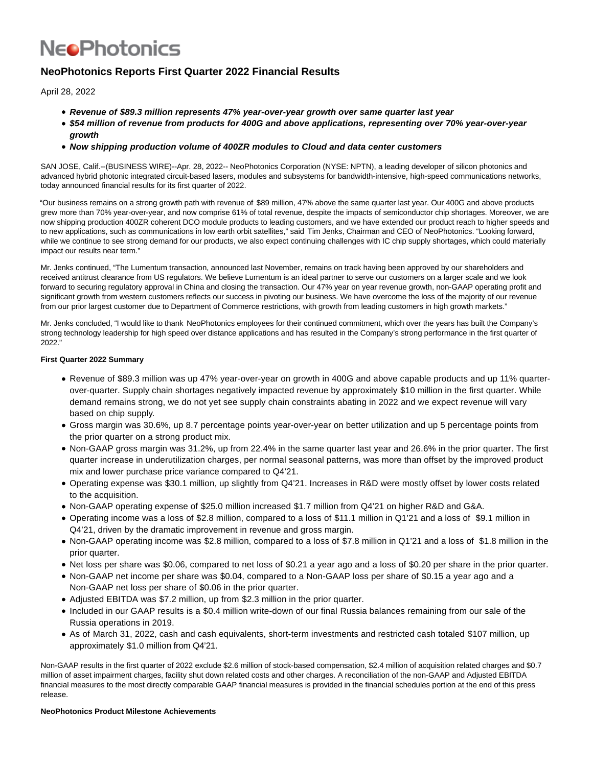# **NeoPhotonics**

# **NeoPhotonics Reports First Quarter 2022 Financial Results**

April 28, 2022

- **Revenue of \$89.3 million represents 47% year-over-year growth over same quarter last year**
- **\$54 million of revenue from products for 400G and above applications, representing over 70% year-over-year growth**
- **Now shipping production volume of 400ZR modules to Cloud and data center customers**

SAN JOSE, Calif.--(BUSINESS WIRE)--Apr. 28, 2022-- NeoPhotonics Corporation (NYSE: NPTN), a leading developer of silicon photonics and advanced hybrid photonic integrated circuit-based lasers, modules and subsystems for bandwidth-intensive, high-speed communications networks, today announced financial results for its first quarter of 2022.

"Our business remains on a strong growth path with revenue of \$89 million, 47% above the same quarter last year. Our 400G and above products grew more than 70% year-over-year, and now comprise 61% of total revenue, despite the impacts of semiconductor chip shortages. Moreover, we are now shipping production 400ZR coherent DCO module products to leading customers, and we have extended our product reach to higher speeds and to new applications, such as communications in low earth orbit satellites," said Tim Jenks, Chairman and CEO of NeoPhotonics. "Looking forward, while we continue to see strong demand for our products, we also expect continuing challenges with IC chip supply shortages, which could materially impact our results near term."

Mr. Jenks continued, "The Lumentum transaction, announced last November, remains on track having been approved by our shareholders and received antitrust clearance from US regulators. We believe Lumentum is an ideal partner to serve our customers on a larger scale and we look forward to securing regulatory approval in China and closing the transaction. Our 47% year on year revenue growth, non-GAAP operating profit and significant growth from western customers reflects our success in pivoting our business. We have overcome the loss of the majority of our revenue from our prior largest customer due to Department of Commerce restrictions, with growth from leading customers in high growth markets."

Mr. Jenks concluded, "I would like to thank NeoPhotonics employees for their continued commitment, which over the years has built the Company's strong technology leadership for high speed over distance applications and has resulted in the Company's strong performance in the first quarter of 2022."

#### **First Quarter 2022 Summary**

- Revenue of \$89.3 million was up 47% year-over-year on growth in 400G and above capable products and up 11% quarterover-quarter. Supply chain shortages negatively impacted revenue by approximately \$10 million in the first quarter. While demand remains strong, we do not yet see supply chain constraints abating in 2022 and we expect revenue will vary based on chip supply.
- Gross margin was 30.6%, up 8.7 percentage points year-over-year on better utilization and up 5 percentage points from the prior quarter on a strong product mix.
- Non-GAAP gross margin was 31.2%, up from 22.4% in the same quarter last year and 26.6% in the prior quarter. The first quarter increase in underutilization charges, per normal seasonal patterns, was more than offset by the improved product mix and lower purchase price variance compared to Q4'21.
- Operating expense was \$30.1 million, up slightly from Q4'21. Increases in R&D were mostly offset by lower costs related to the acquisition.
- Non-GAAP operating expense of \$25.0 million increased \$1.7 million from Q4'21 on higher R&D and G&A.
- Operating income was a loss of \$2.8 million, compared to a loss of \$11.1 million in Q1'21 and a loss of \$9.1 million in Q4'21, driven by the dramatic improvement in revenue and gross margin.
- Non-GAAP operating income was \$2.8 million, compared to a loss of \$7.8 million in Q1'21 and a loss of \$1.8 million in the prior quarter.
- Net loss per share was \$0.06, compared to net loss of \$0.21 a year ago and a loss of \$0.20 per share in the prior quarter.
- Non-GAAP net income per share was \$0.04, compared to a Non-GAAP loss per share of \$0.15 a year ago and a Non-GAAP net loss per share of \$0.06 in the prior quarter.
- Adjusted EBITDA was \$7.2 million, up from \$2.3 million in the prior quarter.
- Included in our GAAP results is a \$0.4 million write-down of our final Russia balances remaining from our sale of the Russia operations in 2019.
- As of March 31, 2022, cash and cash equivalents, short-term investments and restricted cash totaled \$107 million, up approximately \$1.0 million from Q4'21.

Non-GAAP results in the first quarter of 2022 exclude \$2.6 million of stock-based compensation, \$2.4 million of acquisition related charges and \$0.7 million of asset impairment charges, facility shut down related costs and other charges. A reconciliation of the non-GAAP and Adjusted EBITDA financial measures to the most directly comparable GAAP financial measures is provided in the financial schedules portion at the end of this press release.

#### **NeoPhotonics Product Milestone Achievements**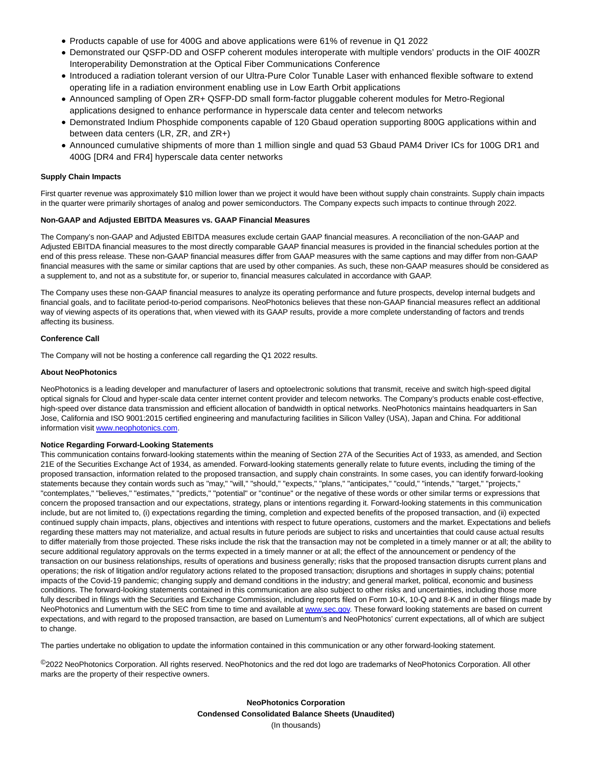- Products capable of use for 400G and above applications were 61% of revenue in Q1 2022
- Demonstrated our QSFP-DD and OSFP coherent modules interoperate with multiple vendors' products in the OIF 400ZR Interoperability Demonstration at the Optical Fiber Communications Conference
- Introduced a radiation tolerant version of our Ultra-Pure Color Tunable Laser with enhanced flexible software to extend operating life in a radiation environment enabling use in Low Earth Orbit applications
- Announced sampling of Open ZR+ QSFP-DD small form-factor pluggable coherent modules for Metro-Regional applications designed to enhance performance in hyperscale data center and telecom networks
- Demonstrated Indium Phosphide components capable of 120 Gbaud operation supporting 800G applications within and between data centers (LR, ZR, and ZR+)
- Announced cumulative shipments of more than 1 million single and quad 53 Gbaud PAM4 Driver ICs for 100G DR1 and 400G [DR4 and FR4] hyperscale data center networks

#### **Supply Chain Impacts**

First quarter revenue was approximately \$10 million lower than we project it would have been without supply chain constraints. Supply chain impacts in the quarter were primarily shortages of analog and power semiconductors. The Company expects such impacts to continue through 2022.

#### **Non-GAAP and Adjusted EBITDA Measures vs. GAAP Financial Measures**

The Company's non-GAAP and Adjusted EBITDA measures exclude certain GAAP financial measures. A reconciliation of the non-GAAP and Adjusted EBITDA financial measures to the most directly comparable GAAP financial measures is provided in the financial schedules portion at the end of this press release. These non-GAAP financial measures differ from GAAP measures with the same captions and may differ from non-GAAP financial measures with the same or similar captions that are used by other companies. As such, these non-GAAP measures should be considered as a supplement to, and not as a substitute for, or superior to, financial measures calculated in accordance with GAAP.

The Company uses these non-GAAP financial measures to analyze its operating performance and future prospects, develop internal budgets and financial goals, and to facilitate period-to-period comparisons. NeoPhotonics believes that these non-GAAP financial measures reflect an additional way of viewing aspects of its operations that, when viewed with its GAAP results, provide a more complete understanding of factors and trends affecting its business.

#### **Conference Call**

The Company will not be hosting a conference call regarding the Q1 2022 results.

#### **About NeoPhotonics**

NeoPhotonics is a leading developer and manufacturer of lasers and optoelectronic solutions that transmit, receive and switch high-speed digital optical signals for Cloud and hyper-scale data center internet content provider and telecom networks. The Company's products enable cost-effective, high-speed over distance data transmission and efficient allocation of bandwidth in optical networks. NeoPhotonics maintains headquarters in San Jose, California and ISO 9001:2015 certified engineering and manufacturing facilities in Silicon Valley (USA), Japan and China. For additional information visi[t www.neophotonics.com.](https://cts.businesswire.com/ct/CT?id=smartlink&url=http%3A%2F%2Fwww.neophotonics.com&esheet=52700419&newsitemid=20220428005471&lan=en-US&anchor=www.neophotonics.com&index=1&md5=2a8f9b1b11d2e67916dd85b92af981f8)

#### **Notice Regarding Forward-Looking Statements**

This communication contains forward-looking statements within the meaning of Section 27A of the Securities Act of 1933, as amended, and Section 21E of the Securities Exchange Act of 1934, as amended. Forward-looking statements generally relate to future events, including the timing of the proposed transaction, information related to the proposed transaction, and supply chain constraints. In some cases, you can identify forward-looking statements because they contain words such as "may," "will," "should," "expects," "plans," "anticipates," "could," "intends," "target," "projects," "contemplates," "believes," "estimates," "predicts," "potential" or "continue" or the negative of these words or other similar terms or expressions that concern the proposed transaction and our expectations, strategy, plans or intentions regarding it. Forward-looking statements in this communication include, but are not limited to, (i) expectations regarding the timing, completion and expected benefits of the proposed transaction, and (ii) expected continued supply chain impacts, plans, objectives and intentions with respect to future operations, customers and the market. Expectations and beliefs regarding these matters may not materialize, and actual results in future periods are subject to risks and uncertainties that could cause actual results to differ materially from those projected. These risks include the risk that the transaction may not be completed in a timely manner or at all; the ability to secure additional regulatory approvals on the terms expected in a timely manner or at all; the effect of the announcement or pendency of the transaction on our business relationships, results of operations and business generally; risks that the proposed transaction disrupts current plans and operations; the risk of litigation and/or regulatory actions related to the proposed transaction; disruptions and shortages in supply chains; potential impacts of the Covid-19 pandemic; changing supply and demand conditions in the industry; and general market, political, economic and business conditions. The forward-looking statements contained in this communication are also subject to other risks and uncertainties, including those more fully described in filings with the Securities and Exchange Commission, including reports filed on Form 10-K, 10-Q and 8-K and in other filings made by NeoPhotonics and Lumentum with the SEC from time to time and available a[t www.sec.gov.](https://cts.businesswire.com/ct/CT?id=smartlink&url=http%3A%2F%2Fwww.sec.gov&esheet=52700419&newsitemid=20220428005471&lan=en-US&anchor=www.sec.gov&index=2&md5=5df2f6d54a418670192caf8931a139f4) These forward looking statements are based on current expectations, and with regard to the proposed transaction, are based on Lumentum's and NeoPhotonics' current expectations, all of which are subject to change.

The parties undertake no obligation to update the information contained in this communication or any other forward-looking statement.

©2022 NeoPhotonics Corporation. All rights reserved. NeoPhotonics and the red dot logo are trademarks of NeoPhotonics Corporation. All other marks are the property of their respective owners.

> **NeoPhotonics Corporation Condensed Consolidated Balance Sheets (Unaudited)** (In thousands)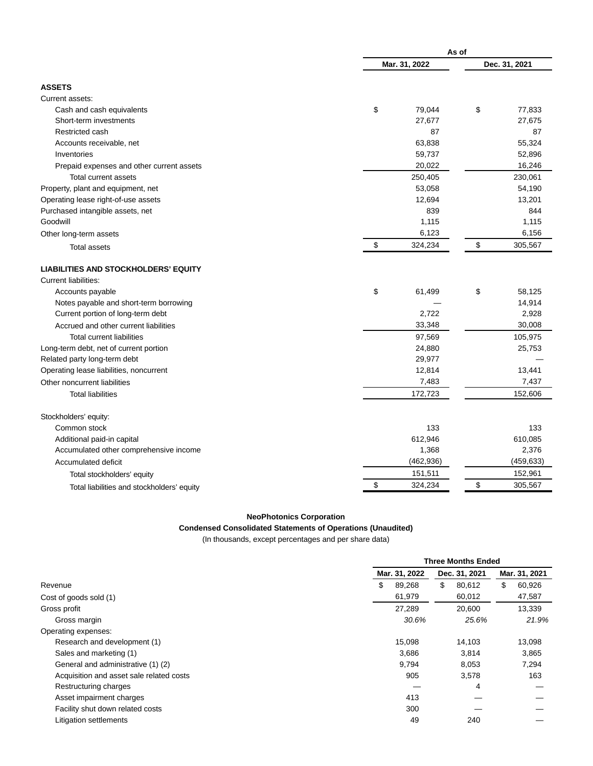| Mar. 31, 2022<br>Dec. 31, 2021<br><b>ASSETS</b><br>Current assets:<br>\$<br>79,044<br>\$<br>77,833<br>Cash and cash equivalents<br>27,675<br>Short-term investments<br>27,677<br>Restricted cash<br>87<br>87<br>55,324<br>Accounts receivable, net<br>63,838<br>Inventories<br>59,737<br>52,896<br>20,022<br>16,246<br>Prepaid expenses and other current assets<br>250,405<br>230,061<br>Total current assets<br>Property, plant and equipment, net<br>53,058<br>54,190<br>Operating lease right-of-use assets<br>12,694<br>13,201<br>Purchased intangible assets, net<br>839<br>844<br>Goodwill<br>1,115<br>1,115<br>6,123<br>6,156<br>Other long-term assets<br>\$<br>\$<br>324,234<br>305,567<br><b>Total assets</b><br><b>LIABILITIES AND STOCKHOLDERS' EQUITY</b><br><b>Current liabilities:</b><br>\$<br>\$<br>61,499<br>58,125<br>Accounts payable<br>Notes payable and short-term borrowing<br>14,914<br>2,722<br>2,928<br>Current portion of long-term debt<br>33,348<br>30,008<br>Accrued and other current liabilities<br>97,569<br>105,975<br><b>Total current liabilities</b><br>24,880<br>25,753<br>Long-term debt, net of current portion<br>29,977<br>Related party long-term debt<br>Operating lease liabilities, noncurrent<br>12,814<br>13,441<br>7,483<br>7,437<br>Other noncurrent liabilities<br>172,723<br>152,606<br><b>Total liabilities</b><br>Stockholders' equity:<br>133<br>Common stock<br>133<br>612,946<br>610,085<br>Additional paid-in capital<br>1,368<br>2,376<br>Accumulated other comprehensive income<br>(462, 936)<br>(459, 633)<br>Accumulated deficit<br>151,511<br>152,961<br>Total stockholders' equity<br>\$<br>\$<br>324,234<br>305,567<br>Total liabilities and stockholders' equity |  | As of |
|--------------------------------------------------------------------------------------------------------------------------------------------------------------------------------------------------------------------------------------------------------------------------------------------------------------------------------------------------------------------------------------------------------------------------------------------------------------------------------------------------------------------------------------------------------------------------------------------------------------------------------------------------------------------------------------------------------------------------------------------------------------------------------------------------------------------------------------------------------------------------------------------------------------------------------------------------------------------------------------------------------------------------------------------------------------------------------------------------------------------------------------------------------------------------------------------------------------------------------------------------------------------------------------------------------------------------------------------------------------------------------------------------------------------------------------------------------------------------------------------------------------------------------------------------------------------------------------------------------------------------------------------------------------------------------------------------------------------------------------|--|-------|
|                                                                                                                                                                                                                                                                                                                                                                                                                                                                                                                                                                                                                                                                                                                                                                                                                                                                                                                                                                                                                                                                                                                                                                                                                                                                                                                                                                                                                                                                                                                                                                                                                                                                                                                                      |  |       |
|                                                                                                                                                                                                                                                                                                                                                                                                                                                                                                                                                                                                                                                                                                                                                                                                                                                                                                                                                                                                                                                                                                                                                                                                                                                                                                                                                                                                                                                                                                                                                                                                                                                                                                                                      |  |       |
|                                                                                                                                                                                                                                                                                                                                                                                                                                                                                                                                                                                                                                                                                                                                                                                                                                                                                                                                                                                                                                                                                                                                                                                                                                                                                                                                                                                                                                                                                                                                                                                                                                                                                                                                      |  |       |
|                                                                                                                                                                                                                                                                                                                                                                                                                                                                                                                                                                                                                                                                                                                                                                                                                                                                                                                                                                                                                                                                                                                                                                                                                                                                                                                                                                                                                                                                                                                                                                                                                                                                                                                                      |  |       |
|                                                                                                                                                                                                                                                                                                                                                                                                                                                                                                                                                                                                                                                                                                                                                                                                                                                                                                                                                                                                                                                                                                                                                                                                                                                                                                                                                                                                                                                                                                                                                                                                                                                                                                                                      |  |       |
|                                                                                                                                                                                                                                                                                                                                                                                                                                                                                                                                                                                                                                                                                                                                                                                                                                                                                                                                                                                                                                                                                                                                                                                                                                                                                                                                                                                                                                                                                                                                                                                                                                                                                                                                      |  |       |
|                                                                                                                                                                                                                                                                                                                                                                                                                                                                                                                                                                                                                                                                                                                                                                                                                                                                                                                                                                                                                                                                                                                                                                                                                                                                                                                                                                                                                                                                                                                                                                                                                                                                                                                                      |  |       |
|                                                                                                                                                                                                                                                                                                                                                                                                                                                                                                                                                                                                                                                                                                                                                                                                                                                                                                                                                                                                                                                                                                                                                                                                                                                                                                                                                                                                                                                                                                                                                                                                                                                                                                                                      |  |       |
|                                                                                                                                                                                                                                                                                                                                                                                                                                                                                                                                                                                                                                                                                                                                                                                                                                                                                                                                                                                                                                                                                                                                                                                                                                                                                                                                                                                                                                                                                                                                                                                                                                                                                                                                      |  |       |
|                                                                                                                                                                                                                                                                                                                                                                                                                                                                                                                                                                                                                                                                                                                                                                                                                                                                                                                                                                                                                                                                                                                                                                                                                                                                                                                                                                                                                                                                                                                                                                                                                                                                                                                                      |  |       |
|                                                                                                                                                                                                                                                                                                                                                                                                                                                                                                                                                                                                                                                                                                                                                                                                                                                                                                                                                                                                                                                                                                                                                                                                                                                                                                                                                                                                                                                                                                                                                                                                                                                                                                                                      |  |       |
|                                                                                                                                                                                                                                                                                                                                                                                                                                                                                                                                                                                                                                                                                                                                                                                                                                                                                                                                                                                                                                                                                                                                                                                                                                                                                                                                                                                                                                                                                                                                                                                                                                                                                                                                      |  |       |
|                                                                                                                                                                                                                                                                                                                                                                                                                                                                                                                                                                                                                                                                                                                                                                                                                                                                                                                                                                                                                                                                                                                                                                                                                                                                                                                                                                                                                                                                                                                                                                                                                                                                                                                                      |  |       |
|                                                                                                                                                                                                                                                                                                                                                                                                                                                                                                                                                                                                                                                                                                                                                                                                                                                                                                                                                                                                                                                                                                                                                                                                                                                                                                                                                                                                                                                                                                                                                                                                                                                                                                                                      |  |       |
|                                                                                                                                                                                                                                                                                                                                                                                                                                                                                                                                                                                                                                                                                                                                                                                                                                                                                                                                                                                                                                                                                                                                                                                                                                                                                                                                                                                                                                                                                                                                                                                                                                                                                                                                      |  |       |
|                                                                                                                                                                                                                                                                                                                                                                                                                                                                                                                                                                                                                                                                                                                                                                                                                                                                                                                                                                                                                                                                                                                                                                                                                                                                                                                                                                                                                                                                                                                                                                                                                                                                                                                                      |  |       |
|                                                                                                                                                                                                                                                                                                                                                                                                                                                                                                                                                                                                                                                                                                                                                                                                                                                                                                                                                                                                                                                                                                                                                                                                                                                                                                                                                                                                                                                                                                                                                                                                                                                                                                                                      |  |       |
|                                                                                                                                                                                                                                                                                                                                                                                                                                                                                                                                                                                                                                                                                                                                                                                                                                                                                                                                                                                                                                                                                                                                                                                                                                                                                                                                                                                                                                                                                                                                                                                                                                                                                                                                      |  |       |
|                                                                                                                                                                                                                                                                                                                                                                                                                                                                                                                                                                                                                                                                                                                                                                                                                                                                                                                                                                                                                                                                                                                                                                                                                                                                                                                                                                                                                                                                                                                                                                                                                                                                                                                                      |  |       |
|                                                                                                                                                                                                                                                                                                                                                                                                                                                                                                                                                                                                                                                                                                                                                                                                                                                                                                                                                                                                                                                                                                                                                                                                                                                                                                                                                                                                                                                                                                                                                                                                                                                                                                                                      |  |       |
|                                                                                                                                                                                                                                                                                                                                                                                                                                                                                                                                                                                                                                                                                                                                                                                                                                                                                                                                                                                                                                                                                                                                                                                                                                                                                                                                                                                                                                                                                                                                                                                                                                                                                                                                      |  |       |
|                                                                                                                                                                                                                                                                                                                                                                                                                                                                                                                                                                                                                                                                                                                                                                                                                                                                                                                                                                                                                                                                                                                                                                                                                                                                                                                                                                                                                                                                                                                                                                                                                                                                                                                                      |  |       |
|                                                                                                                                                                                                                                                                                                                                                                                                                                                                                                                                                                                                                                                                                                                                                                                                                                                                                                                                                                                                                                                                                                                                                                                                                                                                                                                                                                                                                                                                                                                                                                                                                                                                                                                                      |  |       |
|                                                                                                                                                                                                                                                                                                                                                                                                                                                                                                                                                                                                                                                                                                                                                                                                                                                                                                                                                                                                                                                                                                                                                                                                                                                                                                                                                                                                                                                                                                                                                                                                                                                                                                                                      |  |       |
|                                                                                                                                                                                                                                                                                                                                                                                                                                                                                                                                                                                                                                                                                                                                                                                                                                                                                                                                                                                                                                                                                                                                                                                                                                                                                                                                                                                                                                                                                                                                                                                                                                                                                                                                      |  |       |
|                                                                                                                                                                                                                                                                                                                                                                                                                                                                                                                                                                                                                                                                                                                                                                                                                                                                                                                                                                                                                                                                                                                                                                                                                                                                                                                                                                                                                                                                                                                                                                                                                                                                                                                                      |  |       |
|                                                                                                                                                                                                                                                                                                                                                                                                                                                                                                                                                                                                                                                                                                                                                                                                                                                                                                                                                                                                                                                                                                                                                                                                                                                                                                                                                                                                                                                                                                                                                                                                                                                                                                                                      |  |       |
|                                                                                                                                                                                                                                                                                                                                                                                                                                                                                                                                                                                                                                                                                                                                                                                                                                                                                                                                                                                                                                                                                                                                                                                                                                                                                                                                                                                                                                                                                                                                                                                                                                                                                                                                      |  |       |
|                                                                                                                                                                                                                                                                                                                                                                                                                                                                                                                                                                                                                                                                                                                                                                                                                                                                                                                                                                                                                                                                                                                                                                                                                                                                                                                                                                                                                                                                                                                                                                                                                                                                                                                                      |  |       |
|                                                                                                                                                                                                                                                                                                                                                                                                                                                                                                                                                                                                                                                                                                                                                                                                                                                                                                                                                                                                                                                                                                                                                                                                                                                                                                                                                                                                                                                                                                                                                                                                                                                                                                                                      |  |       |
|                                                                                                                                                                                                                                                                                                                                                                                                                                                                                                                                                                                                                                                                                                                                                                                                                                                                                                                                                                                                                                                                                                                                                                                                                                                                                                                                                                                                                                                                                                                                                                                                                                                                                                                                      |  |       |
|                                                                                                                                                                                                                                                                                                                                                                                                                                                                                                                                                                                                                                                                                                                                                                                                                                                                                                                                                                                                                                                                                                                                                                                                                                                                                                                                                                                                                                                                                                                                                                                                                                                                                                                                      |  |       |
|                                                                                                                                                                                                                                                                                                                                                                                                                                                                                                                                                                                                                                                                                                                                                                                                                                                                                                                                                                                                                                                                                                                                                                                                                                                                                                                                                                                                                                                                                                                                                                                                                                                                                                                                      |  |       |
|                                                                                                                                                                                                                                                                                                                                                                                                                                                                                                                                                                                                                                                                                                                                                                                                                                                                                                                                                                                                                                                                                                                                                                                                                                                                                                                                                                                                                                                                                                                                                                                                                                                                                                                                      |  |       |
|                                                                                                                                                                                                                                                                                                                                                                                                                                                                                                                                                                                                                                                                                                                                                                                                                                                                                                                                                                                                                                                                                                                                                                                                                                                                                                                                                                                                                                                                                                                                                                                                                                                                                                                                      |  |       |

# **NeoPhotonics Corporation**

#### **Condensed Consolidated Statements of Operations (Unaudited)**

(In thousands, except percentages and per share data)

|                                          |               | <b>Three Months Ended</b> |               |  |  |  |  |  |
|------------------------------------------|---------------|---------------------------|---------------|--|--|--|--|--|
|                                          | Mar. 31, 2022 | Dec. 31, 2021             | Mar. 31, 2021 |  |  |  |  |  |
| Revenue                                  | 89,268<br>\$  | \$<br>80,612              | \$<br>60,926  |  |  |  |  |  |
| Cost of goods sold (1)                   | 61,979        | 60,012                    | 47,587        |  |  |  |  |  |
| Gross profit                             | 27.289        | 20.600                    | 13,339        |  |  |  |  |  |
| Gross margin                             | 30.6%         | 25.6%                     | 21.9%         |  |  |  |  |  |
| Operating expenses:                      |               |                           |               |  |  |  |  |  |
| Research and development (1)             | 15,098        | 14,103                    | 13,098        |  |  |  |  |  |
| Sales and marketing (1)                  | 3.686         | 3,814                     | 3,865         |  |  |  |  |  |
| General and administrative (1) (2)       | 9,794         | 8,053                     | 7,294         |  |  |  |  |  |
| Acquisition and asset sale related costs | 905           | 3,578                     | 163           |  |  |  |  |  |
| Restructuring charges                    |               | 4                         |               |  |  |  |  |  |
| Asset impairment charges                 | 413           |                           |               |  |  |  |  |  |
| Facility shut down related costs         | 300           |                           |               |  |  |  |  |  |
| <b>Litigation settlements</b>            | 49            | 240                       |               |  |  |  |  |  |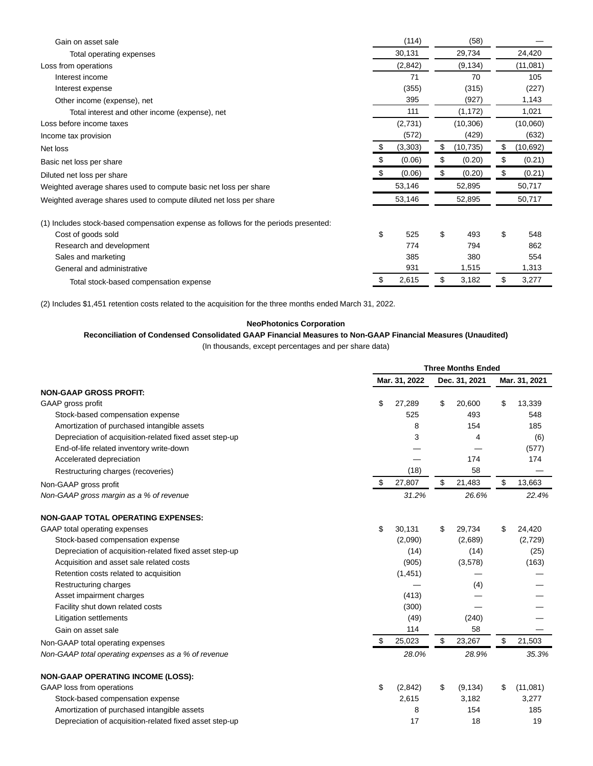| Gain on asset sale                                                                  |     | (114)   | (58)            |                |
|-------------------------------------------------------------------------------------|-----|---------|-----------------|----------------|
| Total operating expenses                                                            |     | 30,131  | 29,734          | 24,420         |
| Loss from operations                                                                |     | (2,842) | (9, 134)        | (11,081)       |
| Interest income                                                                     |     | 71      | 70              | 105            |
| Interest expense                                                                    |     | (355)   | (315)           | (227)          |
| Other income (expense), net                                                         |     | 395     | (927)           | 1,143          |
| Total interest and other income (expense), net                                      |     | 111     | (1, 172)        | 1,021          |
| Loss before income taxes                                                            |     | (2,731) | (10, 306)       | (10,060)       |
| Income tax provision                                                                |     | (572)   | (429)           | (632)          |
| Net loss                                                                            | \$. | (3,303) | \$<br>(10, 735) | \$<br>(10,692) |
| Basic net loss per share                                                            |     | (0.06)  | \$<br>(0.20)    | \$<br>(0.21)   |
| Diluted net loss per share                                                          | \$  | (0.06)  | \$<br>(0.20)    | \$<br>(0.21)   |
| Weighted average shares used to compute basic net loss per share                    |     | 53,146  | 52,895          | 50,717         |
| Weighted average shares used to compute diluted net loss per share                  |     | 53,146  | 52,895          | 50,717         |
| (1) Includes stock-based compensation expense as follows for the periods presented: |     |         |                 |                |
| Cost of goods sold                                                                  | \$  | 525     | \$<br>493       | \$<br>548      |
| Research and development                                                            |     | 774     | 794             | 862            |
| Sales and marketing                                                                 |     | 385     | 380             | 554            |
| General and administrative                                                          |     | 931     | 1,515           | 1,313          |
| Total stock-based compensation expense                                              | \$  | 2,615   | \$<br>3,182     | \$<br>3,277    |

(2) Includes \$1,451 retention costs related to the acquisition for the three months ended March 31, 2022.

#### **NeoPhotonics Corporation**

# **Reconciliation of Condensed Consolidated GAAP Financial Measures to Non-GAAP Financial Measures (Unaudited)**

(In thousands, except percentages and per share data)

|                                                         | <b>Three Months Ended</b> |               |    |               |               |          |  |  |
|---------------------------------------------------------|---------------------------|---------------|----|---------------|---------------|----------|--|--|
|                                                         |                           | Mar. 31, 2022 |    | Dec. 31, 2021 | Mar. 31, 2021 |          |  |  |
| <b>NON-GAAP GROSS PROFIT:</b>                           |                           |               |    |               |               |          |  |  |
| GAAP gross profit                                       | \$                        | 27,289        | \$ | 20,600        | \$            | 13,339   |  |  |
| Stock-based compensation expense                        |                           | 525           |    | 493           |               | 548      |  |  |
| Amortization of purchased intangible assets             |                           | 8             |    | 154           |               | 185      |  |  |
| Depreciation of acquisition-related fixed asset step-up |                           | 3             |    | 4             |               | (6)      |  |  |
| End-of-life related inventory write-down                |                           |               |    |               |               | (577)    |  |  |
| Accelerated depreciation                                |                           |               |    | 174           |               | 174      |  |  |
| Restructuring charges (recoveries)                      |                           | (18)          |    | 58            |               |          |  |  |
| Non-GAAP gross profit                                   | \$                        | 27,807        | \$ | 21,483        | \$            | 13.663   |  |  |
| Non-GAAP gross margin as a % of revenue                 |                           | 31.2%         |    | 26.6%         |               | 22.4%    |  |  |
| <b>NON-GAAP TOTAL OPERATING EXPENSES:</b>               |                           |               |    |               |               |          |  |  |
| GAAP total operating expenses                           | \$                        | 30,131        | \$ | 29,734        | \$            | 24,420   |  |  |
| Stock-based compensation expense                        |                           | (2,090)       |    | (2,689)       |               | (2,729)  |  |  |
| Depreciation of acquisition-related fixed asset step-up |                           | (14)          |    | (14)          |               | (25)     |  |  |
| Acquisition and asset sale related costs                |                           | (905)         |    | (3,578)       |               | (163)    |  |  |
| Retention costs related to acquisition                  |                           | (1, 451)      |    |               |               |          |  |  |
| Restructuring charges                                   |                           |               |    | (4)           |               |          |  |  |
| Asset impairment charges                                |                           | (413)         |    |               |               |          |  |  |
| Facility shut down related costs                        |                           | (300)         |    |               |               |          |  |  |
| <b>Litigation settlements</b>                           |                           | (49)          |    | (240)         |               |          |  |  |
| Gain on asset sale                                      |                           | 114           |    | 58            |               |          |  |  |
| Non-GAAP total operating expenses                       | \$                        | 25,023        | \$ | 23,267        | \$            | 21,503   |  |  |
| Non-GAAP total operating expenses as a % of revenue     |                           | 28.0%         |    | 28.9%         |               | 35.3%    |  |  |
| <b>NON-GAAP OPERATING INCOME (LOSS):</b>                |                           |               |    |               |               |          |  |  |
| GAAP loss from operations                               | \$                        | (2,842)       | \$ | (9, 134)      | \$            | (11,081) |  |  |
| Stock-based compensation expense                        |                           | 2,615         |    | 3,182         |               | 3,277    |  |  |
| Amortization of purchased intangible assets             |                           | 8             |    | 154           |               | 185      |  |  |
| Depreciation of acquisition-related fixed asset step-up |                           | 17            |    | 18            |               | 19       |  |  |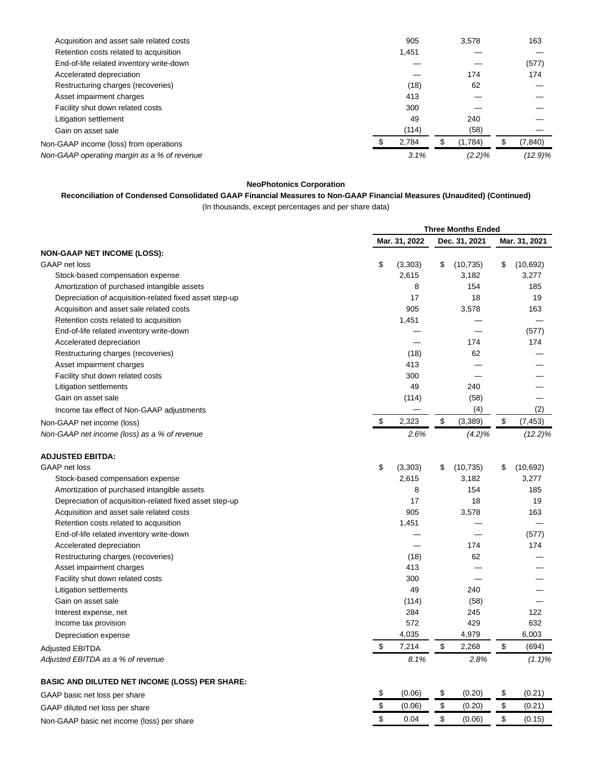| Acquisition and asset sale related costs    | 905   | 3.578   | 163      |
|---------------------------------------------|-------|---------|----------|
| Retention costs related to acquisition      | 1.451 |         |          |
| End-of-life related inventory write-down    |       |         | (577)    |
| Accelerated depreciation                    |       | 174     | 174      |
| Restructuring charges (recoveries)          | (18)  | 62      |          |
| Asset impairment charges                    | 413   |         |          |
| Facility shut down related costs            | 300   |         |          |
| Litigation settlement                       | 49    | 240     |          |
| Gain on asset sale                          | (114) | (58)    |          |
| Non-GAAP income (loss) from operations      | 2,784 | (1,784) | (7, 840) |
| Non-GAAP operating margin as a % of revenue | 3.1%  | (2.2)%  | (12.9)%  |
|                                             |       |         |          |

### **NeoPhotonics Corporation**

## **Reconciliation of Condensed Consolidated GAAP Financial Measures to Non-GAAP Financial Measures (Unaudited) (Continued)** (In thousands, except percentages and per share data)

|                                                         | <b>Three Months Ended</b> |               |    |               |    |               |
|---------------------------------------------------------|---------------------------|---------------|----|---------------|----|---------------|
|                                                         |                           | Mar. 31, 2022 |    | Dec. 31, 2021 |    | Mar. 31, 2021 |
| <b>NON-GAAP NET INCOME (LOSS):</b>                      |                           |               |    |               |    |               |
| GAAP net loss                                           | \$                        | (3,303)       | \$ | (10, 735)     | \$ | (10,692)      |
| Stock-based compensation expense                        |                           | 2,615         |    | 3,182         |    | 3,277         |
| Amortization of purchased intangible assets             |                           | 8             |    | 154           |    | 185           |
| Depreciation of acquisition-related fixed asset step-up |                           | 17            |    | 18            |    | 19            |
| Acquisition and asset sale related costs                |                           | 905           |    | 3,578         |    | 163           |
| Retention costs related to acquisition                  |                           | 1,451         |    |               |    |               |
| End-of-life related inventory write-down                |                           |               |    |               |    | (577)         |
| Accelerated depreciation                                |                           |               |    | 174           |    | 174           |
| Restructuring charges (recoveries)                      |                           | (18)          |    | 62            |    |               |
| Asset impairment charges                                |                           | 413           |    |               |    |               |
| Facility shut down related costs                        |                           | 300           |    |               |    |               |
| Litigation settlements                                  |                           | 49            |    | 240           |    |               |
| Gain on asset sale                                      |                           | (114)         |    | (58)          |    |               |
| Income tax effect of Non-GAAP adjustments               |                           |               |    | (4)           |    | (2)           |
| Non-GAAP net income (loss)                              | \$                        | 2,323         | \$ | (3,389)       | \$ | (7, 453)      |
| Non-GAAP net income (loss) as a % of revenue            |                           | 2.6%          |    | $(4.2)\%$     |    | $(12.2)\%$    |
| <b>ADJUSTED EBITDA:</b>                                 |                           |               |    |               |    |               |
| GAAP net loss                                           | \$                        | (3,303)       | \$ | (10, 735)     | \$ | (10,692)      |
| Stock-based compensation expense                        |                           | 2,615         |    | 3,182         |    | 3,277         |
| Amortization of purchased intangible assets             |                           | 8             |    | 154           |    | 185           |
| Depreciation of acquisition-related fixed asset step-up |                           | 17            |    | 18            |    | 19            |
| Acquisition and asset sale related costs                |                           | 905           |    | 3,578         |    | 163           |
| Retention costs related to acquisition                  |                           | 1,451         |    |               |    |               |
| End-of-life related inventory write-down                |                           |               |    |               |    | (577)         |
| Accelerated depreciation                                |                           |               |    | 174           |    | 174           |
| Restructuring charges (recoveries)                      |                           | (18)          |    | 62            |    |               |
| Asset impairment charges                                |                           | 413           |    |               |    |               |
| Facility shut down related costs                        |                           | 300           |    |               |    |               |
| Litigation settlements                                  |                           | 49            |    | 240           |    |               |
| Gain on asset sale                                      |                           | (114)         |    | (58)          |    |               |
| Interest expense, net                                   |                           | 284           |    | 245           |    | 122           |
| Income tax provision                                    |                           | 572           |    | 429           |    | 632           |
| Depreciation expense                                    |                           | 4,035         |    | 4,979         |    | 6,003         |
| <b>Adjusted EBITDA</b>                                  | \$                        | 7,214         | \$ | 2,268         | \$ | (694)         |
| Adjusted EBITDA as a % of revenue                       |                           | 8.1%          |    | 2.8%          |    | $(1.1)\%$     |
| <b>BASIC AND DILUTED NET INCOME (LOSS) PER SHARE:</b>   |                           |               |    |               |    |               |
| GAAP basic net loss per share                           | \$                        | (0.06)        | \$ | (0.20)        | \$ | (0.21)        |
| GAAP diluted net loss per share                         | \$                        | (0.06)        | \$ | (0.20)        | \$ | (0.21)        |
| Non-GAAP basic net income (loss) per share              | \$                        | 0.04          | \$ | (0.06)        | \$ | (0.15)        |